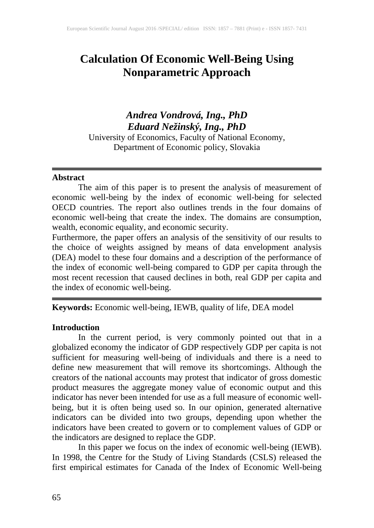# **Calculation Of Economic Well-Being Using Nonparametric Approach**

## *Andrea Vondrová, Ing., PhD Eduard Nežinský, Ing., PhD* University of Economics, Faculty of National Economy,

Department of Economic policy, Slovakia

### **Abstract**

The aim of this paper is to present the analysis of measurement of economic well-being by the index of economic well-being for selected OECD countries. The report also outlines trends in the four domains of economic well-being that create the index. The domains are consumption, wealth, economic equality, and economic security.

Furthermore, the paper offers an analysis of the sensitivity of our results to the choice of weights assigned by means of data envelopment analysis (DEA) model to these four domains and a description of the performance of the index of economic well-being compared to GDP per capita through the most recent recession that caused declines in both, real GDP per capita and the index of economic well-being.

**Keywords:** Economic well-being, IEWB, quality of life, DEA model

## **Introduction**

In the current period, is very commonly pointed out that in a globalized economy the indicator of GDP respectively GDP per capita is not sufficient for measuring well-being of individuals and there is a need to define new measurement that will remove its shortcomings. Although the creators of the national accounts may protest that indicator of gross domestic product measures the aggregate money value of economic output and this indicator has never been intended for use as a full measure of economic wellbeing, but it is often being used so. In our opinion, generated alternative indicators can be divided into two groups, depending upon whether the indicators have been created to govern or to complement values of GDP or the indicators are designed to replace the GDP.

In this paper we focus on the index of economic well-being (IEWB). In 1998, the Centre for the Study of Living Standards (CSLS) released the first empirical estimates for Canada of the Index of Economic Well-being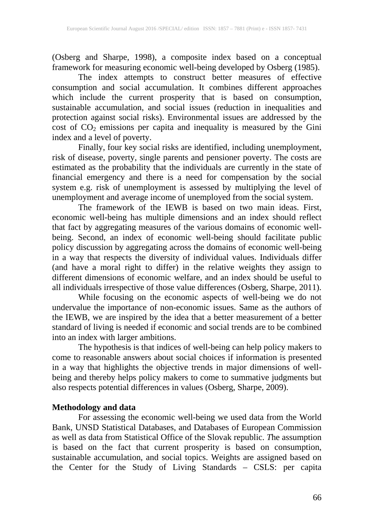(Osberg and Sharpe, 1998), a composite index based on a conceptual framework for measuring economic well-being developed by Osberg (1985).

The index attempts to construct better measures of effective consumption and social accumulation. It combines different approaches which include the current prosperity that is based on consumption, sustainable accumulation, and social issues (reduction in inequalities and protection against social risks). Environmental issues are addressed by the cost of  $CO<sub>2</sub>$  emissions per capita and inequality is measured by the Gini index and a level of poverty.

Finally, four key social risks are identified, including unemployment, risk of disease, poverty, single parents and pensioner poverty. The costs are estimated as the probability that the individuals are currently in the state of financial emergency and there is a need for compensation by the social system e.g. risk of unemployment is assessed by multiplying the level of unemployment and average income of unemployed from the social system.

The framework of the IEWB is based on two main ideas. First, economic well-being has multiple dimensions and an index should reflect that fact by aggregating measures of the various domains of economic wellbeing. Second, an index of economic well-being should facilitate public policy discussion by aggregating across the domains of economic well-being in a way that respects the diversity of individual values. Individuals differ (and have a moral right to differ) in the relative weights they assign to different dimensions of economic welfare, and an index should be useful to all individuals irrespective of those value differences (Osberg, Sharpe, 2011).

While focusing on the economic aspects of well-being we do not undervalue the importance of non-economic issues. Same as the authors of the IEWB, we are inspired by the idea that a better measurement of a better standard of living is needed if economic and social trends are to be combined into an index with larger ambitions.

The hypothesis is that indices of well-being can help policy makers to come to reasonable answers about social choices if information is presented in a way that highlights the objective trends in major dimensions of wellbeing and thereby helps policy makers to come to summative judgments but also respects potential differences in values (Osberg, Sharpe, 2009).

## **Methodology and data**

For assessing the economic well-being we used data from the World Bank, UNSD Statistical Databases, and Databases of European Commission as well as data from Statistical Office of the Slovak republic. *T*he assumption is based on the fact that current prosperity is based on consumption, sustainable accumulation, and social topics. Weights are assigned based on the Center for the Study of Living Standards – CSLS: per capita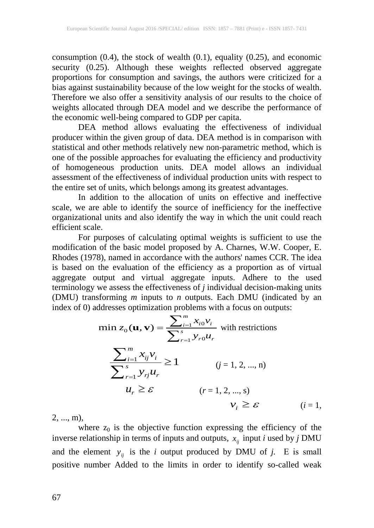consumption  $(0.4)$ , the stock of wealth  $(0.1)$ , equality  $(0.25)$ , and economic security (0.25). Although these weights reflected observed aggregate proportions for consumption and savings, the authors were criticized for a bias against sustainability because of the low weight for the stocks of wealth. Therefore we also offer a sensitivity analysis of our results to the choice of weights allocated through DEA model and we describe the performance of the economic well-being compared to GDP per capita.

DEA method allows evaluating the effectiveness of individual producer within the given group of data. DEA method is in comparison with statistical and other methods relatively new non-parametric method, which is one of the possible approaches for evaluating the efficiency and productivity of homogeneous production units. DEA model allows an individual assessment of the effectiveness of individual production units with respect to the entire set of units, which belongs among its greatest advantages.

In addition to the allocation of units on effective and ineffective scale, we are able to identify the source of inefficiency for the ineffective organizational units and also identify the way in which the unit could reach efficient scale.

For purposes of calculating optimal weights is sufficient to use the modification of the basic model proposed by A. Charnes, W.W. Cooper, E. Rhodes (1978), named in accordance with the authors' names CCR. The idea is based on the evaluation of the efficiency as a proportion as of virtual aggregate output and virtual aggregate inputs. Adhere to the used terminology we assess the effectiveness of *j* individual decision-making units (DMU) transforming *m* inputs to *n* outputs. Each DMU (indicated by an index of 0) addresses optimization problems with a focus on outputs:

$$
\min z_0(\mathbf{u}, \mathbf{v}) = \frac{\sum_{i=1}^m x_{i0} v_i}{\sum_{r=1}^s y_{r0} u_r} \text{ with restrictions}
$$
\n
$$
\frac{\sum_{i=1}^m x_{ij} v_i}{\sum_{r=1}^s y_{rj} u_r} \ge 1 \qquad (j = 1, 2, ..., n)
$$
\n
$$
u_r \ge \varepsilon \qquad (r = 1, 2, ..., s)
$$
\n
$$
v_i \ge \varepsilon \qquad (i = 1, 2, ..., n)
$$
\n
$$
v_i \ge \varepsilon \qquad (i = 1, 2, ..., s)
$$

2, ..., m),

where  $z_0$  is the objective function expressing the efficiency of the inverse relationship in terms of inputs and outputs,  $x_{ij}$  input *i* used by *j* DMU and the element  $y_{ij}$  is the *i* output produced by DMU of *j*. E is small positive number Added to the limits in order to identify so-called weak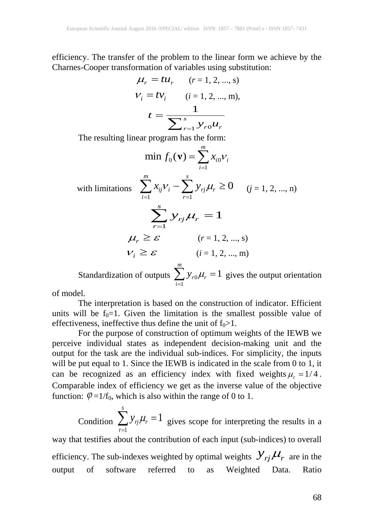efficiency. The transfer of the problem to the linear form we achieve by the Charnes-Cooper transformation of variables using substitution:

$$
\mu_r = t u_r \t (r = 1, 2, ..., s)
$$
  

$$
v_i = t v_i \t (i = 1, 2, ..., m),
$$
  

$$
t = \frac{1}{\sum_{r=1}^{s} y_{r0} u_r}
$$

The resulting linear program has the form:

$$
\min f_0(\mathbf{v}) = \sum_{i=1}^m x_{i0} v_i
$$
  
with limitations 
$$
\sum_{i=1}^m x_{ij} v_i - \sum_{r=1}^s y_{rj} \mu_r \ge 0 \quad (j = 1, 2, ..., n)
$$

$$
\sum_{r=1}^s y_{rj} \mu_r = 1
$$

$$
\mu_r \ge \varepsilon \quad (r = 1, 2, ..., s)
$$

$$
v_i \ge \varepsilon \quad (i = 1, 2, ..., m)
$$

Standardization of outputs  $\sum y_{r0}$ 1 1  $r \theta P^r r$ *i*  $y_{r0}\mu$  $\sum_{i=1}^{n} y_{r0} \mu_r = 1$  gives the output orientation

of model.

The interpretation is based on the construction of indicator. Efficient units will be  $f_0=1$ . Given the limitation is the smallest possible value of effectiveness, ineffective thus define the unit of  $f_0 > 1$ .

For the purpose of construction of optimum weights of the IEWB we perceive individual states as independent decision-making unit and the output for the task are the individual sub-indices. For simplicity, the inputs will be put equal to 1. Since the IEWB is indicated in the scale from 0 to 1, it can be recognized as an efficiency index with fixed weights  $\mu_r = 1/4$ . Comparable index of efficiency we get as the inverse value of the objective function:  $\varphi = 1/f_0$ , which is also within the range of 0 to 1.

Condition 1 1 *s rj r r*  $y_{ri}\mu$ =  $\sum y_{rj}\mu_r = 1$  gives scope for interpreting the results in a way that testifies about the contribution of each input (sub-indices) to overall efficiency. The sub-indexes weighted by optimal weights  $\mathcal{Y}_{rj} \mu_r$  are in the output of software referred to as Weighted Data. Ratio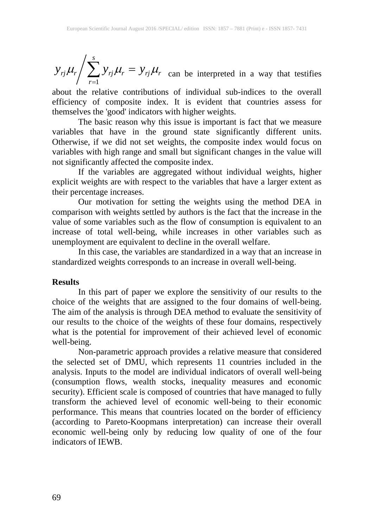1 *s*  $r_j$   $\mu_r$  /  $\sum$   $r_j$   $\mu_r$   $\sum$   $r_j$   $\mu_r$ *r*  $y_{ri}\mu_r / \sum y_{ri}\mu_r = y_{ri}\mu_r$ =  $\sum y_{rj}\mu_r = y_{rj}\mu_r$  can be interpreted in a way that testifies

about the relative contributions of individual sub-indices to the overall efficiency of composite index. It is evident that countries assess for themselves the 'good' indicators with higher weights.

The basic reason why this issue is important is fact that we measure variables that have in the ground state significantly different units. Otherwise, if we did not set weights, the composite index would focus on variables with high range and small but significant changes in the value will not significantly affected the composite index.

If the variables are aggregated without individual weights, higher explicit weights are with respect to the variables that have a larger extent as their percentage increases.

Our motivation for setting the weights using the method DEA in comparison with weights settled by authors is the fact that the increase in the value of some variables such as the flow of consumption is equivalent to an increase of total well-being, while increases in other variables such as unemployment are equivalent to decline in the overall welfare.

In this case, the variables are standardized in a way that an increase in standardized weights corresponds to an increase in overall well-being.

## **Results**

In this part of paper we explore the sensitivity of our results to the choice of the weights that are assigned to the four domains of well-being. The aim of the analysis is through DEA method to evaluate the sensitivity of our results to the choice of the weights of these four domains, respectively what is the potential for improvement of their achieved level of economic well-being.

Non-parametric approach provides a relative measure that considered the selected set of DMU, which represents 11 countries included in the analysis. Inputs to the model are individual indicators of overall well-being (consumption flows, wealth stocks, inequality measures and economic security). Efficient scale is composed of countries that have managed to fully transform the achieved level of economic well-being to their economic performance. This means that countries located on the border of efficiency (according to Pareto-Koopmans interpretation) can increase their overall economic well-being only by reducing low quality of one of the four indicators of IEWB.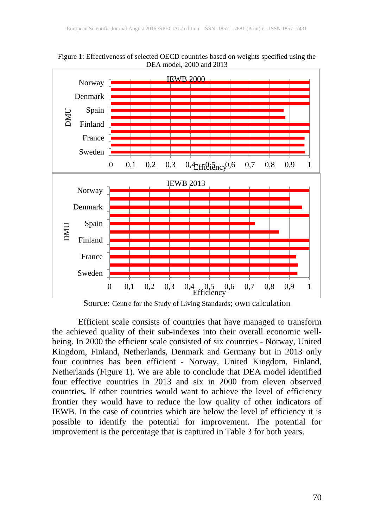

Figure 1: Effectiveness of selected OECD countries based on weights specified using the DEA model, 2000 and 2013

Source: Centre for the Study of Living Standards; own calculation

Efficient scale consists of countries that have managed to transform the achieved quality of their sub-indexes into their overall economic wellbeing. In 2000 the efficient scale consisted of six countries - Norway, United Kingdom, Finland, Netherlands, Denmark and Germany but in 2013 only four countries has been efficient - Norway, United Kingdom, Finland, Netherlands (Figure 1). We are able to conclude that DEA model identified four effective countries in 2013 and six in 2000 from eleven observed countries*.* If other countries would want to achieve the level of efficiency frontier they would have to reduce the low quality of other indicators of IEWB. In the case of countries which are below the level of efficiency it is possible to identify the potential for improvement. The potential for improvement is the percentage that is captured in Table 3 for both years.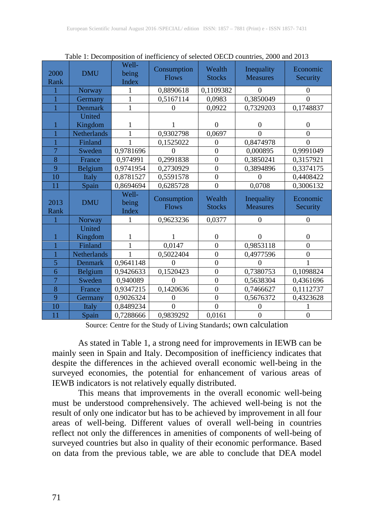| 2000<br>Rank   | <b>DMU</b>         | Well-<br>being<br>Index | Consumption<br><b>Flows</b> | Wealth<br><b>Stocks</b> | Inequality<br><b>Measures</b> | Economic<br>Security |
|----------------|--------------------|-------------------------|-----------------------------|-------------------------|-------------------------------|----------------------|
|                | Norway             | 1                       | 0,8890618                   | 0,1109382               | $\mathbf{0}$                  | $\mathbf{0}$         |
|                | Germany            | 1                       | 0,5167114                   | 0,0983                  | 0,3850049                     | $\theta$             |
|                | Denmark            | $\mathbf{1}$            | $\theta$                    | 0,0922                  | 0,7329203                     | 0,1748837            |
|                | United             |                         |                             |                         |                               |                      |
|                | Kingdom            | 1                       |                             | $\boldsymbol{0}$        | $\overline{0}$                | $\boldsymbol{0}$     |
|                | <b>Netherlands</b> | 1                       | 0,9302798                   | 0,0697                  | $\theta$                      | $\overline{0}$       |
|                | Finland            | 1                       | 0,1525022                   | $\overline{0}$          | 0,8474978                     | $\overline{0}$       |
| $\overline{7}$ | Sweden             | 0,9781696               | $\Omega$                    | $\overline{0}$          | 0,000895                      | 0,9991049            |
| 8              | France             | 0,974991                | 0,2991838                   | $\overline{0}$          | 0,3850241                     | 0,3157921            |
| 9              | Belgium            | 0,9741954               | 0,2730929                   | $\overline{0}$          | 0,3894896                     | 0,3374175            |
| 10             | Italy              | 0,8781527               | 0,5591578                   | $\overline{0}$          | $\Omega$                      | 0,4408422            |
| 11             | Spain              | 0,8694694               | 0,6285728                   | $\overline{0}$          | 0,0708                        | 0,3006132            |
|                |                    | Well-                   |                             |                         |                               |                      |
| 2013<br>Rank   | <b>DMU</b>         | being<br><b>Index</b>   | Consumption<br><b>Flows</b> | Wealth<br><b>Stocks</b> | Inequality<br><b>Measures</b> | Economic<br>Security |
|                | Norway             | 1                       | 0,9623236                   | 0,0377                  | $\theta$                      | $\overline{0}$       |
|                | United             |                         |                             |                         |                               |                      |
|                | Kingdom            | 1                       |                             | $\boldsymbol{0}$        | $\theta$                      | $\boldsymbol{0}$     |
|                | Finland            | 1                       | 0,0147                      | $\overline{0}$          | 0,9853118                     | $\overline{0}$       |
|                | Netherlands        | $\mathbf{1}$            | 0,5022404                   | $\overline{0}$          | 0,4977596                     | $\overline{0}$       |
| 5              | Denmark            | 0,9641148               | $\theta$                    | $\overline{0}$          | $\theta$                      |                      |
| 6              | Belgium            | 0,9426633               | 0,1520423                   | $\overline{0}$          | 0,7380753                     | 0,1098824            |
| $\overline{7}$ | Sweden             | 0,940089                | $\Omega$                    | $\overline{0}$          | 0,5638304                     | 0,4361696            |
| 8              | France             | 0,9347215               | 0,1420636                   | $\overline{0}$          | 0,7466627                     | 0,1112737            |
| 9              | Germany            | 0,9026324               | $\Omega$                    | $\overline{0}$          | 0,5676372                     | 0,4323628            |
| 10             | Italy              | 0,8489234               | $\Omega$                    | $\Omega$                |                               |                      |

Table 1: Decomposition of inefficiency of selected OECD countries, 2000 and 2013

Source: Centre for the Study of Living Standards; own calculation

As stated in Table 1, a strong need for improvements in IEWB can be mainly seen in Spain and Italy. Decomposition of inefficiency indicates that despite the differences in the achieved overall economic well-being in the surveyed economies, the potential for enhancement of various areas of IEWB indicators is not relatively equally distributed.

This means that improvements in the overall economic well-being must be understood comprehensively. The achieved well-being is not the result of only one indicator but has to be achieved by improvement in all four areas of well-being. Different values of overall well-being in countries reflect not only the differences in amenities of components of well-being of surveyed countries but also in quality of their economic performance. Based on data from the previous table, we are able to conclude that DEA model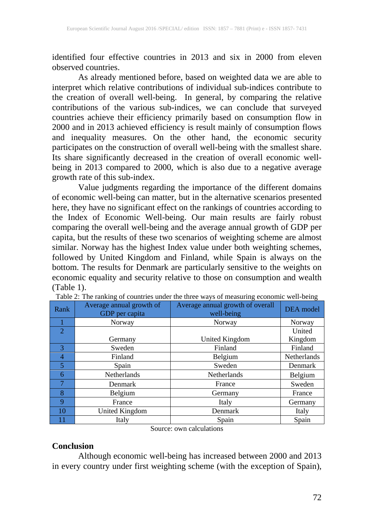identified four effective countries in 2013 and six in 2000 from eleven observed countries.

As already mentioned before, based on weighted data we are able to interpret which relative contributions of individual sub-indices contribute to the creation of overall well-being. In general, by comparing the relative contributions of the various sub-indices, we can conclude that surveyed countries achieve their efficiency primarily based on consumption flow in 2000 and in 2013 achieved efficiency is result mainly of consumption flows and inequality measures. On the other hand, the economic security participates on the construction of overall well-being with the smallest share. Its share significantly decreased in the creation of overall economic wellbeing in 2013 compared to 2000, which is also due to a negative average growth rate of this sub-index.

Value judgments regarding the importance of the different domains of economic well-being can matter, but in the alternative scenarios presented here, they have no significant effect on the rankings of countries according to the Index of Economic Well-being. Our main results are fairly robust comparing the overall well-being and the average annual growth of GDP per capita, but the results of these two scenarios of weighting scheme are almost similar. Norway has the highest Index value under both weighting schemes, followed by United Kingdom and Finland, while Spain is always on the bottom. The results for Denmark are particularly sensitive to the weights on economic equality and security relative to those on consumption and wealth (Table 1).

| Rank                        | Average annual growth of<br>GDP per capita | Average annual growth of overall<br>well-being | <b>DEA</b> model   |
|-----------------------------|--------------------------------------------|------------------------------------------------|--------------------|
|                             | Norway                                     | Norway                                         | Norway             |
| $\mathcal{D}_{\mathcal{A}}$ |                                            |                                                | United             |
|                             | Germany                                    | United Kingdom                                 | Kingdom            |
| 3                           | Sweden                                     | Finland                                        | Finland            |
| 4                           | Finland                                    | Belgium                                        | <b>Netherlands</b> |
| 5                           | Spain                                      | Sweden                                         | Denmark            |
| 6                           | <b>Netherlands</b>                         | <b>Netherlands</b>                             | Belgium            |
| 7                           | Denmark                                    | France                                         | Sweden             |
| 8                           | Belgium                                    | Germany                                        | France             |
| 9                           | France                                     | Italy                                          | Germany            |
| 10                          | United Kingdom                             | Denmark                                        | Italy              |
|                             | Italy                                      | Spain                                          | Spain              |

|  |  |  |  | Table 2: The ranking of countries under the three ways of measuring economic well-being |  |  |  |
|--|--|--|--|-----------------------------------------------------------------------------------------|--|--|--|
|--|--|--|--|-----------------------------------------------------------------------------------------|--|--|--|

Source: own calculations

#### **Conclusion**

Although economic well-being has increased between 2000 and 2013 in every country under first weighting scheme (with the exception of Spain),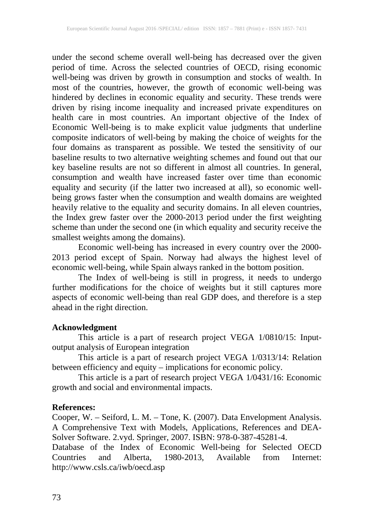under the second scheme overall well-being has decreased over the given period of time. Across the selected countries of OECD, rising economic well-being was driven by growth in consumption and stocks of wealth. In most of the countries, however, the growth of economic well-being was hindered by declines in economic equality and security. These trends were driven by rising income inequality and increased private expenditures on health care in most countries. An important objective of the Index of Economic Well-being is to make explicit value judgments that underline composite indicators of well-being by making the choice of weights for the four domains as transparent as possible. We tested the sensitivity of our baseline results to two alternative weighting schemes and found out that our key baseline results are not so different in almost all countries. In general, consumption and wealth have increased faster over time than economic equality and security (if the latter two increased at all), so economic wellbeing grows faster when the consumption and wealth domains are weighted heavily relative to the equality and security domains. In all eleven countries, the Index grew faster over the 2000-2013 period under the first weighting scheme than under the second one (in which equality and security receive the smallest weights among the domains).

Economic well-being has increased in every country over the 2000- 2013 period except of Spain. Norway had always the highest level of economic well-being, while Spain always ranked in the bottom position.

The Index of well-being is still in progress, it needs to undergo further modifications for the choice of weights but it still captures more aspects of economic well-being than real GDP does, and therefore is a step ahead in the right direction.

## **Acknowledgment**

This article is a part of research project VEGA 1/0810/15: Inputoutput analysis of European integration

This article is a part of research project VEGA 1/0313/14: Relation between efficiency and equity – implications for economic policy.

This article is a part of research project VEGA 1/0431/16: Economic growth and social and environmental impacts.

## **References:**

Cooper, W. – Seiford, L. M. – Tone, K. (2007). Data Envelopment Analysis. A Comprehensive Text with Models, Applications, References and DEA-Solver Software. 2.vyd. Springer, 2007. ISBN: 978-0-387-45281-4.

Database of the Index of Economic Well-being for Selected OECD Countries and Alberta, 1980-2013, Available from Internet: http://www.csls.ca/iwb/oecd.asp